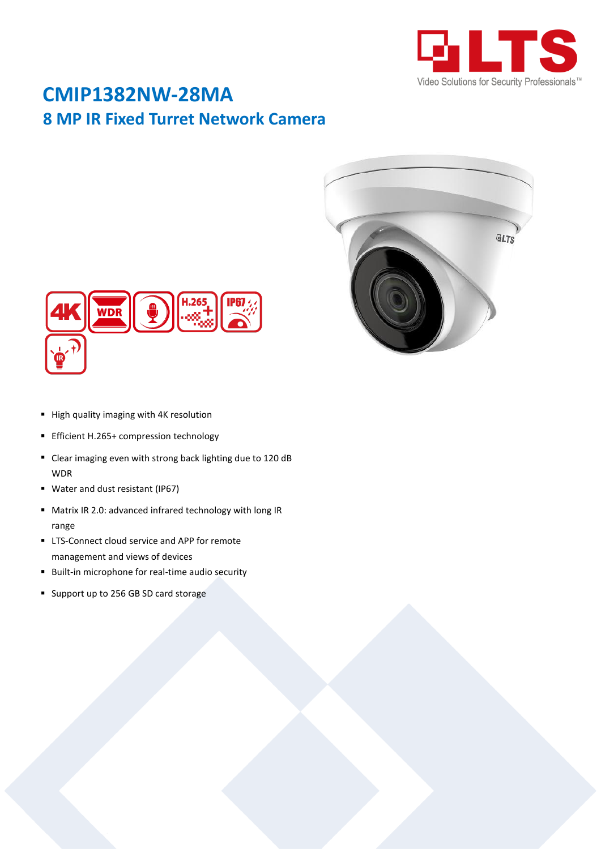

## **CMIP1382NW-28MA 8 MP IR Fixed Turret Network Camera**





- High quality imaging with 4K resolution
- **Efficient H.265+ compression technology**
- Clear imaging even with strong back lighting due to 120 dB WDR
- Water and dust resistant (IP67)
- Matrix IR 2.0: advanced infrared technology with long IR range
- **EXT** LTS-Connect cloud service and APP for remote management and views of devices
- **Built-in microphone for real-time audio security**
- Support up to 256 GB SD card storage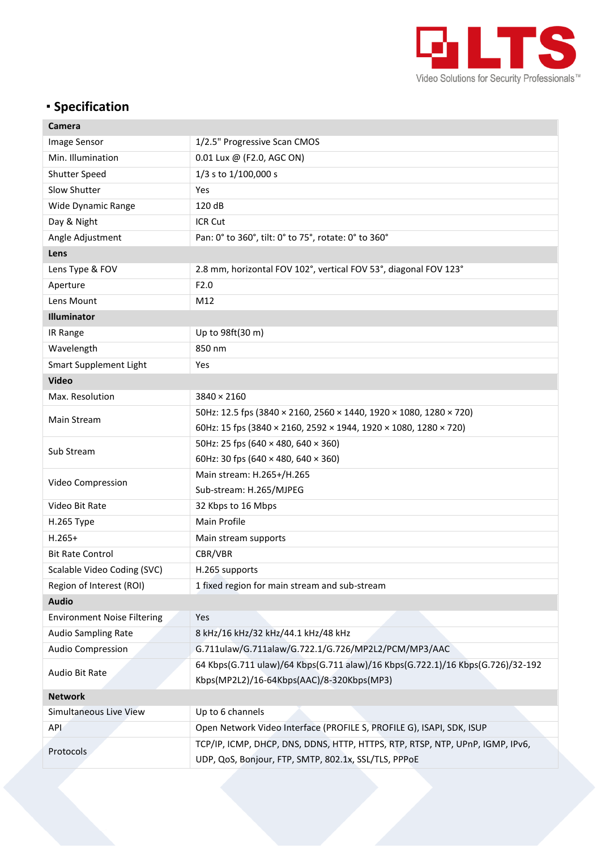

## **Specification**

| Camera                             |                                                                                                                                       |  |
|------------------------------------|---------------------------------------------------------------------------------------------------------------------------------------|--|
| <b>Image Sensor</b>                | 1/2.5" Progressive Scan CMOS                                                                                                          |  |
| Min. Illumination                  | 0.01 Lux @ (F2.0, AGC ON)                                                                                                             |  |
| Shutter Speed                      | 1/3 s to 1/100,000 s                                                                                                                  |  |
| Slow Shutter                       | Yes                                                                                                                                   |  |
| Wide Dynamic Range                 | 120 dB                                                                                                                                |  |
| Day & Night                        | ICR Cut                                                                                                                               |  |
| Angle Adjustment                   | Pan: 0° to 360°, tilt: 0° to 75°, rotate: 0° to 360°                                                                                  |  |
| Lens                               |                                                                                                                                       |  |
| Lens Type & FOV                    | 2.8 mm, horizontal FOV 102°, vertical FOV 53°, diagonal FOV 123°                                                                      |  |
| Aperture                           | F2.0                                                                                                                                  |  |
| Lens Mount                         | M12                                                                                                                                   |  |
| <b>Illuminator</b>                 |                                                                                                                                       |  |
| IR Range                           | Up to 98ft(30 m)                                                                                                                      |  |
| Wavelength                         | 850 nm                                                                                                                                |  |
| Smart Supplement Light             | Yes                                                                                                                                   |  |
| <b>Video</b>                       |                                                                                                                                       |  |
| Max. Resolution                    | $3840 \times 2160$                                                                                                                    |  |
| Main Stream                        | 50Hz: 12.5 fps (3840 × 2160, 2560 × 1440, 1920 × 1080, 1280 × 720)                                                                    |  |
|                                    | 60Hz: 15 fps (3840 × 2160, 2592 × 1944, 1920 × 1080, 1280 × 720)                                                                      |  |
|                                    | 50Hz: 25 fps (640 $\times$ 480, 640 $\times$ 360)                                                                                     |  |
| Sub Stream                         | 60Hz: 30 fps (640 $\times$ 480, 640 $\times$ 360)                                                                                     |  |
|                                    | Main stream: H.265+/H.265                                                                                                             |  |
| Video Compression                  | Sub-stream: H.265/MJPEG                                                                                                               |  |
| Video Bit Rate                     | 32 Kbps to 16 Mbps                                                                                                                    |  |
| H.265 Type                         | Main Profile                                                                                                                          |  |
| $H.265+$                           | Main stream supports                                                                                                                  |  |
| <b>Bit Rate Control</b>            | CBR/VBR                                                                                                                               |  |
| Scalable Video Coding (SVC)        | H.265 supports                                                                                                                        |  |
| Region of Interest (ROI)           | 1 fixed region for main stream and sub-stream                                                                                         |  |
| <b>Audio</b>                       |                                                                                                                                       |  |
| <b>Environment Noise Filtering</b> | Yes                                                                                                                                   |  |
| <b>Audio Sampling Rate</b>         | 8 kHz/16 kHz/32 kHz/44.1 kHz/48 kHz                                                                                                   |  |
| <b>Audio Compression</b>           | G.711ulaw/G.711alaw/G.722.1/G.726/MP2L2/PCM/MP3/AAC                                                                                   |  |
| Audio Bit Rate                     | 64 Kbps(G.711 ulaw)/64 Kbps(G.711 alaw)/16 Kbps(G.722.1)/16 Kbps(G.726)/32-192<br>Kbps(MP2L2)/16-64Kbps(AAC)/8-320Kbps(MP3)           |  |
| <b>Network</b>                     |                                                                                                                                       |  |
| Simultaneous Live View             | Up to 6 channels                                                                                                                      |  |
| <b>API</b>                         | Open Network Video Interface (PROFILE S, PROFILE G), ISAPI, SDK, ISUP                                                                 |  |
| Protocols                          | TCP/IP, ICMP, DHCP, DNS, DDNS, HTTP, HTTPS, RTP, RTSP, NTP, UPnP, IGMP, IPv6,<br>UDP, QoS, Bonjour, FTP, SMTP, 802.1x, SSL/TLS, PPPoE |  |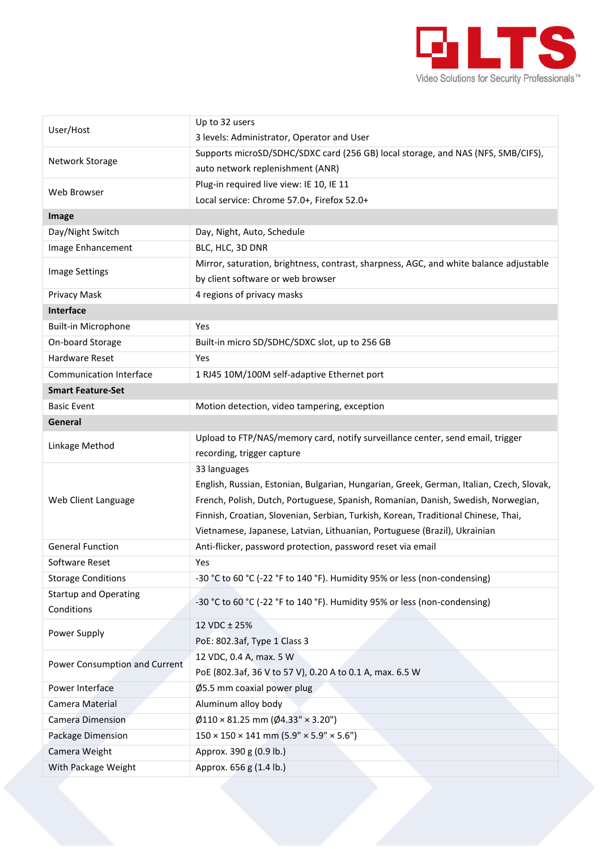

| User/Host                      | Up to 32 users                                                                           |  |
|--------------------------------|------------------------------------------------------------------------------------------|--|
|                                | 3 levels: Administrator, Operator and User                                               |  |
| Network Storage                | Supports microSD/SDHC/SDXC card (256 GB) local storage, and NAS (NFS, SMB/CIFS),         |  |
|                                | auto network replenishment (ANR)                                                         |  |
| Web Browser                    | Plug-in required live view: IE 10, IE 11                                                 |  |
|                                | Local service: Chrome 57.0+, Firefox 52.0+                                               |  |
| <b>Image</b>                   |                                                                                          |  |
| Day/Night Switch               | Day, Night, Auto, Schedule                                                               |  |
| Image Enhancement              | BLC, HLC, 3D DNR                                                                         |  |
| <b>Image Settings</b>          | Mirror, saturation, brightness, contrast, sharpness, AGC, and white balance adjustable   |  |
|                                | by client software or web browser                                                        |  |
| Privacy Mask                   | 4 regions of privacy masks                                                               |  |
| Interface                      |                                                                                          |  |
| <b>Built-in Microphone</b>     | <b>Yes</b>                                                                               |  |
| On-board Storage               | Built-in micro SD/SDHC/SDXC slot, up to 256 GB                                           |  |
| <b>Hardware Reset</b>          | Yes                                                                                      |  |
| <b>Communication Interface</b> | 1 RJ45 10M/100M self-adaptive Ethernet port                                              |  |
| <b>Smart Feature-Set</b>       |                                                                                          |  |
| <b>Basic Event</b>             | Motion detection, video tampering, exception                                             |  |
| General                        |                                                                                          |  |
|                                | Upload to FTP/NAS/memory card, notify surveillance center, send email, trigger           |  |
| Linkage Method                 | recording, trigger capture                                                               |  |
|                                | 33 languages                                                                             |  |
|                                | English, Russian, Estonian, Bulgarian, Hungarian, Greek, German, Italian, Czech, Slovak, |  |
| Web Client Language            | French, Polish, Dutch, Portuguese, Spanish, Romanian, Danish, Swedish, Norwegian,        |  |
|                                | Finnish, Croatian, Slovenian, Serbian, Turkish, Korean, Traditional Chinese, Thai,       |  |
|                                | Vietnamese, Japanese, Latvian, Lithuanian, Portuguese (Brazil), Ukrainian                |  |
| <b>General Function</b>        | Anti-flicker, password protection, password reset via email                              |  |
| Software Reset                 | Yes                                                                                      |  |
| <b>Storage Conditions</b>      | -30 °C to 60 °C (-22 °F to 140 °F). Humidity 95% or less (non-condensing)                |  |
| <b>Startup and Operating</b>   | -30 °C to 60 °C (-22 °F to 140 °F). Humidity 95% or less (non-condensing)                |  |
| Conditions                     |                                                                                          |  |
| Power Supply                   | 12 VDC ± 25%                                                                             |  |
|                                | PoE: 802.3af, Type 1 Class 3                                                             |  |
|                                | 12 VDC, 0.4 A, max. 5 W                                                                  |  |
| Power Consumption and Current  | PoE (802.3af, 36 V to 57 V), 0.20 A to 0.1 A, max. 6.5 W                                 |  |
| Power Interface                | Ø5.5 mm coaxial power plug                                                               |  |
| Camera Material                | Aluminum alloy body                                                                      |  |
| Camera Dimension               | $\varphi$ 110 × 81.25 mm ( $\varphi$ 4.33" × 3.20")                                      |  |
| Package Dimension              | $150 \times 150 \times 141$ mm $(5.9" \times 5.9" \times 5.6")$                          |  |
| Camera Weight                  | Approx. 390 g (0.9 lb.)                                                                  |  |
| With Package Weight            | Approx. 656 g (1.4 lb.)                                                                  |  |